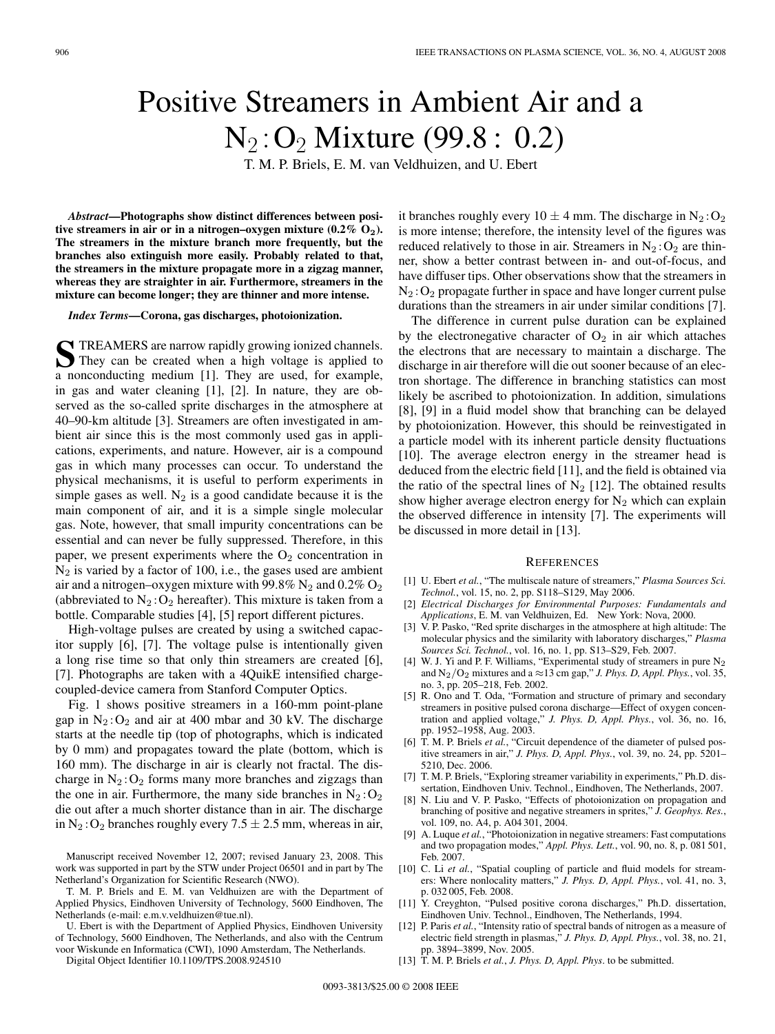## Positive Streamers in Ambient Air and a  $N_2$ : O<sub>2</sub> Mixture (99.8 : 0.2)

T. M. P. Briels, E. M. van Veldhuizen, and U. Ebert

*Abstract***—Photographs show distinct differences between positive streamers in air or in a nitrogen–oxygen mixture (0.2% O2). The streamers in the mixture branch more frequently, but the branches also extinguish more easily. Probably related to that, the streamers in the mixture propagate more in a zigzag manner, whereas they are straighter in air. Furthermore, streamers in the mixture can become longer; they are thinner and more intense.**

*Index Terms***—Corona, gas discharges, photoionization.**

**S** TREAMERS are narrow rapidly growing ionized channels.<br>They can be created when a high voltage is applied to a nonconducting medium [1]. They are used, for example, in gas and water cleaning [1], [2]. In nature, they are observed as the so-called sprite discharges in the atmosphere at 40–90-km altitude [3]. Streamers are often investigated in ambient air since this is the most commonly used gas in applications, experiments, and nature. However, air is a compound gas in which many processes can occur. To understand the physical mechanisms, it is useful to perform experiments in simple gases as well.  $N_2$  is a good candidate because it is the main component of air, and it is a simple single molecular gas. Note, however, that small impurity concentrations can be essential and can never be fully suppressed. Therefore, in this paper, we present experiments where the  $O_2$  concentration in  $N_2$  is varied by a factor of 100, i.e., the gases used are ambient air and a nitrogen–oxygen mixture with 99.8%  $N_2$  and 0.2%  $O_2$ (abbreviated to  $N_2$ :  $O_2$  hereafter). This mixture is taken from a bottle. Comparable studies [4], [5] report different pictures.

High-voltage pulses are created by using a switched capacitor supply [6], [7]. The voltage pulse is intentionally given a long rise time so that only thin streamers are created [6], [7]. Photographs are taken with a 4QuikE intensified chargecoupled-device camera from Stanford Computer Optics.

Fig. 1 shows positive streamers in a 160-mm point-plane gap in  $N_2$ :  $O_2$  and air at 400 mbar and 30 kV. The discharge starts at the needle tip (top of photographs, which is indicated by 0 mm) and propagates toward the plate (bottom, which is 160 mm). The discharge in air is clearly not fractal. The discharge in  $N_2$ :  $O_2$  forms many more branches and zigzags than the one in air. Furthermore, the many side branches in  $N_2$ :  $O_2$ die out after a much shorter distance than in air. The discharge in N<sub>2</sub>: O<sub>2</sub> branches roughly every  $7.5 \pm 2.5$  mm, whereas in air,

Digital Object Identifier 10.1109/TPS.2008.924510

it branches roughly every  $10 \pm 4$  mm. The discharge in  $N_2$ : O<sub>2</sub> is more intense; therefore, the intensity level of the figures was reduced relatively to those in air. Streamers in  $N_2$ :  $O_2$  are thinner, show a better contrast between in- and out-of-focus, and have diffuser tips. Other observations show that the streamers in  $N_2$ :  $O_2$  propagate further in space and have longer current pulse durations than the streamers in air under similar conditions [7].

The difference in current pulse duration can be explained by the electronegative character of  $O_2$  in air which attaches the electrons that are necessary to maintain a discharge. The discharge in air therefore will die out sooner because of an electron shortage. The difference in branching statistics can most likely be ascribed to photoionization. In addition, simulations [8], [9] in a fluid model show that branching can be delayed by photoionization. However, this should be reinvestigated in a particle model with its inherent particle density fluctuations [10]. The average electron energy in the streamer head is deduced from the electric field [11], and the field is obtained via the ratio of the spectral lines of  $N_2$  [12]. The obtained results show higher average electron energy for  $N_2$  which can explain the observed difference in intensity [7]. The experiments will be discussed in more detail in [13].

## **REFERENCES**

- [1] U. Ebert *et al.*, "The multiscale nature of streamers," *Plasma Sources Sci. Technol.*, vol. 15, no. 2, pp. S118–S129, May 2006.
- [2] *Electrical Discharges for Environmental Purposes: Fundamentals and Applications*, E. M. van Veldhuizen, Ed. New York: Nova, 2000.
- [3] V. P. Pasko, "Red sprite discharges in the atmosphere at high altitude: The molecular physics and the similarity with laboratory discharges," *Plasma Sources Sci. Technol.*, vol. 16, no. 1, pp. S13–S29, Feb. 2007.
- [4] W. J. Yi and P. F. Williams, "Experimental study of streamers in pure  $N_2$ and  $N_2/O_2$  mixtures and a ≈13 cm gap," *J. Phys. D, Appl. Phys.*, vol. 35, no. 3, pp. 205–218, Feb. 2002.
- [5] R. Ono and T. Oda, "Formation and structure of primary and secondary streamers in positive pulsed corona discharge—Effect of oxygen concentration and applied voltage," *J. Phys. D, Appl. Phys.*, vol. 36, no. 16, pp. 1952–1958, Aug. 2003.
- [6] T. M. P. Briels *et al.*, "Circuit dependence of the diameter of pulsed positive streamers in air," *J. Phys. D, Appl. Phys.*, vol. 39, no. 24, pp. 5201– 5210, Dec. 2006.
- [7] T. M. P. Briels, "Exploring streamer variability in experiments," Ph.D. dissertation, Eindhoven Univ. Technol., Eindhoven, The Netherlands, 2007.
- [8] N. Liu and V. P. Pasko, "Effects of photoionization on propagation and branching of positive and negative streamers in sprites," *J. Geophys. Res.*, vol. 109, no. A4, p. A04 301, 2004.
- [9] A. Luque *et al.*, "Photoionization in negative streamers: Fast computations and two propagation modes," *Appl. Phys. Lett.*, vol. 90, no. 8, p. 081 501, Feb. 2007.
- [10] C. Li et al., "Spatial coupling of particle and fluid models for streamers: Where nonlocality matters," *J. Phys. D, Appl. Phys.*, vol. 41, no. 3, p. 032 005, Feb. 2008.
- [11] Y. Creyghton, "Pulsed positive corona discharges," Ph.D. dissertation, Eindhoven Univ. Technol., Eindhoven, The Netherlands, 1994.
- [12] P. Paris *et al.*, "Intensity ratio of spectral bands of nitrogen as a measure of electric field strength in plasmas," *J. Phys. D, Appl. Phys.*, vol. 38, no. 21, pp. 3894–3899, Nov. 2005.
- [13] T. M. P. Briels *et al.*, *J. Phys. D, Appl. Phys*. to be submitted.

Manuscript received November 12, 2007; revised January 23, 2008. This work was supported in part by the STW under Project 06501 and in part by The Netherland's Organization for Scientific Research (NWO).

T. M. P. Briels and E. M. van Veldhuizen are with the Department of Applied Physics, Eindhoven University of Technology, 5600 Eindhoven, The Netherlands (e-mail: e.m.v.veldhuizen@tue.nl).

U. Ebert is with the Department of Applied Physics, Eindhoven University of Technology, 5600 Eindhoven, The Netherlands, and also with the Centrum voor Wiskunde en Informatica (CWI), 1090 Amsterdam, The Netherlands.